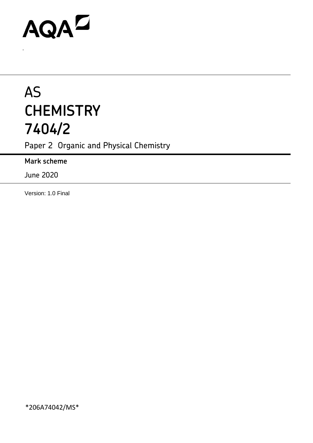# AQAD

.

## AS **CHEMISTRY 7404/2**

Paper 2 Organic and Physical Chemistry

**Mark scheme**

June 2020

Version: 1.0 Final

\*206A74042/MS\*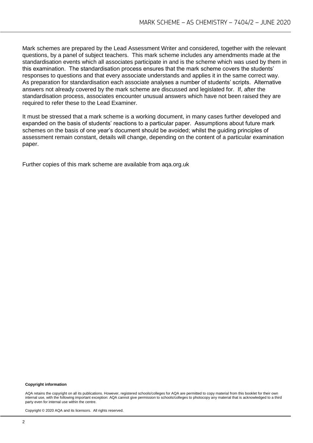Mark schemes are prepared by the Lead Assessment Writer and considered, together with the relevant questions, by a panel of subject teachers. This mark scheme includes any amendments made at the standardisation events which all associates participate in and is the scheme which was used by them in this examination. The standardisation process ensures that the mark scheme covers the students' responses to questions and that every associate understands and applies it in the same correct way. As preparation for standardisation each associate analyses a number of students' scripts. Alternative answers not already covered by the mark scheme are discussed and legislated for. If, after the standardisation process, associates encounter unusual answers which have not been raised they are required to refer these to the Lead Examiner.

It must be stressed that a mark scheme is a working document, in many cases further developed and expanded on the basis of students' reactions to a particular paper. Assumptions about future mark schemes on the basis of one year's document should be avoided; whilst the guiding principles of assessment remain constant, details will change, depending on the content of a particular examination paper.

Further copies of this mark scheme are available from aqa.org.uk

#### **Copyright information**

AQA retains the copyright on all its publications. However, registered schools/colleges for AQA are permitted to copy material from this booklet for their own internal use, with the following important exception: AQA cannot give permission to schools/colleges to photocopy any material that is acknowledged to a third party even for internal use within the centre.

Copyright © 2020 AQA and its licensors. All rights reserved.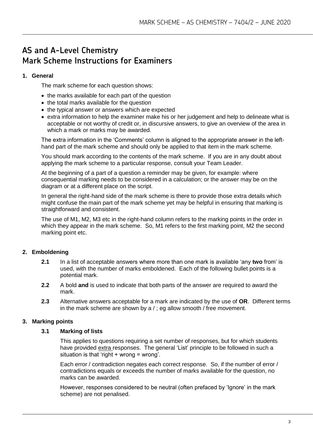### **AS and A-Level Chemistry Mark Scheme Instructions for Examiners**

#### **1. General**

The mark scheme for each question shows:

- the marks available for each part of the question
- the total marks available for the question
- the typical answer or answers which are expected
- extra information to help the examiner make his or her judgement and help to delineate what is acceptable or not worthy of credit or, in discursive answers, to give an overview of the area in which a mark or marks may be awarded.

The extra information in the 'Comments' column is aligned to the appropriate answer in the lefthand part of the mark scheme and should only be applied to that item in the mark scheme.

You should mark according to the contents of the mark scheme. If you are in any doubt about applying the mark scheme to a particular response, consult your Team Leader.

At the beginning of a part of a question a reminder may be given, for example: where consequential marking needs to be considered in a calculation; or the answer may be on the diagram or at a different place on the script.

In general the right-hand side of the mark scheme is there to provide those extra details which might confuse the main part of the mark scheme yet may be helpful in ensuring that marking is straightforward and consistent.

The use of M1, M2, M3 etc in the right-hand column refers to the marking points in the order in which they appear in the mark scheme. So, M1 refers to the first marking point, M2 the second marking point etc.

#### **2. Emboldening**

- **2.1** In a list of acceptable answers where more than one mark is available 'any **two** from' is used, with the number of marks emboldened. Each of the following bullet points is a potential mark.
- **2.2** A bold **and** is used to indicate that both parts of the answer are required to award the mark.
- **2.3** Alternative answers acceptable for a mark are indicated by the use of **OR**. Different terms in the mark scheme are shown by a / ; eg allow smooth / free movement.

#### **3. Marking points**

#### **3.1 Marking of lists**

This applies to questions requiring a set number of responses, but for which students have provided extra responses. The general 'List' principle to be followed in such a situation is that 'right  $+$  wrong = wrong'.

Each error / contradiction negates each correct response. So, if the number of error / contradictions equals or exceeds the number of marks available for the question, no marks can be awarded.

However, responses considered to be neutral (often prefaced by 'Ignore' in the mark scheme) are not penalised.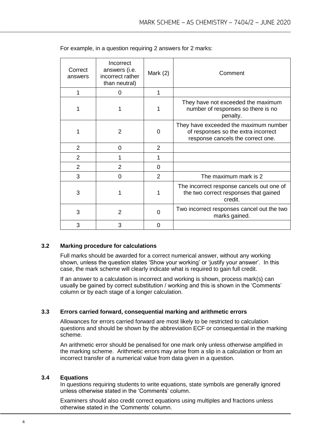| Correct<br>answers | Incorrect<br>answers (i.e.<br>incorrect rather<br>than neutral) | Mark $(2)$     | Comment                                                                                                           |
|--------------------|-----------------------------------------------------------------|----------------|-------------------------------------------------------------------------------------------------------------------|
| 1                  | 0                                                               | 1              |                                                                                                                   |
|                    | 1                                                               | 1              | They have not exceeded the maximum<br>number of responses so there is no<br>penalty.                              |
| 1                  | 2                                                               | 0              | They have exceeded the maximum number<br>of responses so the extra incorrect<br>response cancels the correct one. |
| $\overline{2}$     | 0                                                               | $\overline{2}$ |                                                                                                                   |
| $\overline{2}$     |                                                                 | 1              |                                                                                                                   |
| $\overline{2}$     | 2                                                               | 0              |                                                                                                                   |
| 3                  | 0                                                               | 2              | The maximum mark is 2                                                                                             |
| 3                  | 1                                                               | 1              | The incorrect response cancels out one of<br>the two correct responses that gained<br>credit.                     |
| 3                  | $\overline{2}$                                                  | 0              | Two incorrect responses cancel out the two<br>marks gained.                                                       |
| 3                  | 3                                                               | 0              |                                                                                                                   |

|  |  | For example, in a question requiring 2 answers for 2 marks: |  |  |
|--|--|-------------------------------------------------------------|--|--|
|  |  |                                                             |  |  |

#### **3.2 Marking procedure for calculations**

Full marks should be awarded for a correct numerical answer, without any working shown, unless the question states 'Show your working' or 'justify your answer'. In this case, the mark scheme will clearly indicate what is required to gain full credit.

If an answer to a calculation is incorrect and working is shown, process mark(s) can usually be gained by correct substitution / working and this is shown in the 'Comments' column or by each stage of a longer calculation.

#### **3.3 Errors carried forward, consequential marking and arithmetic errors**

Allowances for errors carried forward are most likely to be restricted to calculation questions and should be shown by the abbreviation ECF or consequential in the marking scheme.

An arithmetic error should be penalised for one mark only unless otherwise amplified in the marking scheme. Arithmetic errors may arise from a slip in a calculation or from an incorrect transfer of a numerical value from data given in a question.

#### **3.4 Equations**

In questions requiring students to write equations, state symbols are generally ignored unless otherwise stated in the 'Comments' column.

Examiners should also credit correct equations using multiples and fractions unless otherwise stated in the 'Comments' column.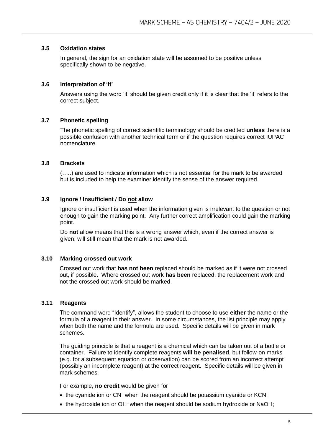#### **3.5 Oxidation states**

In general, the sign for an oxidation state will be assumed to be positive unless specifically shown to be negative.

#### **3.6 Interpretation of 'it'**

Answers using the word 'it' should be given credit only if it is clear that the 'it' refers to the correct subject.

#### **3.7 Phonetic spelling**

The phonetic spelling of correct scientific terminology should be credited **unless** there is a possible confusion with another technical term or if the question requires correct IUPAC nomenclature.

#### **3.8 Brackets**

(…..) are used to indicate information which is not essential for the mark to be awarded but is included to help the examiner identify the sense of the answer required.

#### **3.9 Ignore / Insufficient / Do not allow**

Ignore or insufficient is used when the information given is irrelevant to the question or not enough to gain the marking point. Any further correct amplification could gain the marking point.

Do **not** allow means that this is a wrong answer which, even if the correct answer is given, will still mean that the mark is not awarded.

#### **3.10 Marking crossed out work**

Crossed out work that **has not been** replaced should be marked as if it were not crossed out, if possible. Where crossed out work **has been** replaced, the replacement work and not the crossed out work should be marked.

#### **3.11 Reagents**

The command word "Identify", allows the student to choose to use **either** the name or the formula of a reagent in their answer. In some circumstances, the list principle may apply when both the name and the formula are used. Specific details will be given in mark schemes.

The guiding principle is that a reagent is a chemical which can be taken out of a bottle or container. Failure to identify complete reagents **will be penalised**, but follow-on marks (e.g. for a subsequent equation or observation) can be scored from an incorrect attempt (possibly an incomplete reagent) at the correct reagent. Specific details will be given in mark schemes.

For example, **no credit** would be given for

- the cyanide ion or CN<sup>-</sup> when the reagent should be potassium cyanide or KCN;
- the hydroxide ion or OH<sup>-</sup> when the reagent should be sodium hydroxide or NaOH;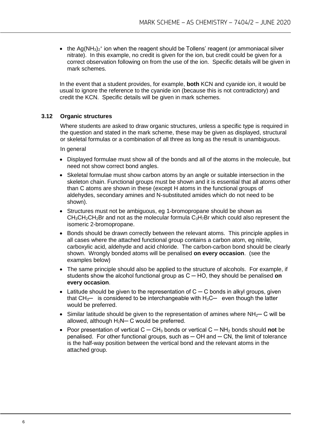• the Ag(NH<sub>3</sub>)<sub>2</sub><sup>+</sup> ion when the reagent should be Tollens' reagent (or ammoniacal silver nitrate). In this example, no credit is given for the ion, but credit could be given for a correct observation following on from the use of the ion. Specific details will be given in mark schemes.

In the event that a student provides, for example, **both** KCN and cyanide ion, it would be usual to ignore the reference to the cyanide ion (because this is not contradictory) and credit the KCN. Specific details will be given in mark schemes.

#### **3.12 Organic structures**

Where students are asked to draw organic structures, unless a specific type is required in the question and stated in the mark scheme, these may be given as displayed, structural or skeletal formulas or a combination of all three as long as the result is unambiguous.

In general

- Displayed formulae must show all of the bonds and all of the atoms in the molecule, but need not show correct bond angles.
- Skeletal formulae must show carbon atoms by an angle or suitable intersection in the skeleton chain. Functional groups must be shown and it is essential that all atoms other than C atoms are shown in these (except H atoms in the functional groups of aldehydes, secondary amines and N-substituted amides which do not need to be shown).
- Structures must not be ambiguous, eg 1-bromopropane should be shown as  $CH_3CH_2CH_2Br$  and not as the molecular formula  $C_3H_7Br$  which could also represent the isomeric 2-bromopropane.
- Bonds should be drawn correctly between the relevant atoms. This principle applies in all cases where the attached functional group contains a carbon atom, eg nitrile, carboxylic acid, aldehyde and acid chloride. The carbon-carbon bond should be clearly shown. Wrongly bonded atoms will be penalised **on every occasion**. (see the examples below)
- The same principle should also be applied to the structure of alcohols. For example, if students show the alcohol functional group as C ─ HO, they should be penalised **on every occasion**.
- Latitude should be given to the representation of C C bonds in alkyl groups, given that  $CH_3$ — is considered to be interchangeable with  $H_3C$ — even though the latter would be preferred.
- Similar latitude should be given to the representation of amines where NH<sub>2</sub>— C will be allowed, although H<sub>2</sub>N– C would be preferred.
- Poor presentation of vertical C ─ CH<sup>3</sup> bonds or vertical C ─ NH<sup>2</sup> bonds should **not** be penalised. For other functional groups, such as  $-$  OH and  $-$  CN, the limit of tolerance is the half-way position between the vertical bond and the relevant atoms in the attached group.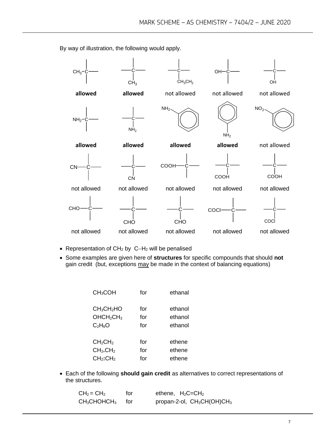

By way of illustration, the following would apply.

- Representation of CH<sup>2</sup> by C−H<sup>2</sup> will be penalised
- Some examples are given here of **structures** for specific compounds that should **not** gain credit (but, exceptions may be made in the context of balancing equations)

| CH <sub>3</sub> COH                                                                  | for               | ethanal                       |
|--------------------------------------------------------------------------------------|-------------------|-------------------------------|
| CH <sub>3</sub> CH <sub>2</sub> HO<br>OHCH <sub>2</sub> CH <sub>3</sub><br>$C_2H_6O$ | for<br>for<br>for | ethanol<br>ethanol<br>ethanol |
| CH <sub>2</sub> CH <sub>2</sub>                                                      | for               | ethene                        |
| CH <sub>2</sub> .CH <sub>2</sub>                                                     | for               | ethene                        |
| $CH2$ :CH <sub>2</sub>                                                               | for               | ethene                        |

• Each of the following **should gain credit** as alternatives to correct representations of the structures.

| $CH2 = CH2$    | for   | ethene, $H_2C = CH_2$                              |
|----------------|-------|----------------------------------------------------|
| $CH_3CHOHCH_3$ | tor – | propan-2-ol, CH <sub>3</sub> CH(OH)CH <sub>3</sub> |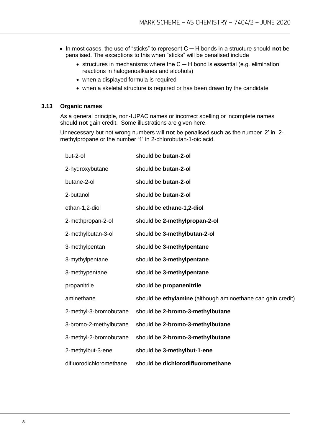- In most cases, the use of "sticks" to represent C ─ H bonds in a structure should **not** be penalised. The exceptions to this when "sticks" will be penalised include
	- structures in mechanisms where the C ─ H bond is essential (e.g. elimination reactions in halogenoalkanes and alcohols)
	- when a displayed formula is required
	- when a skeletal structure is required or has been drawn by the candidate

#### **3.13 Organic names**

As a general principle, non-IUPAC names or incorrect spelling or incomplete names should **not** gain credit. Some illustrations are given here.

Unnecessary but not wrong numbers will **not** be penalised such as the number '2' in 2 methylpropane or the number '1' in 2-chlorobutan-1-oic acid.

| but-2-ol                | should be butan-2-ol                                        |
|-------------------------|-------------------------------------------------------------|
| 2-hydroxybutane         | should be butan-2-ol                                        |
| butane-2-ol             | should be butan-2-ol                                        |
| 2-butanol               | should be butan-2-ol                                        |
| ethan-1,2-diol          | should be ethane-1,2-diol                                   |
| 2-methpropan-2-ol       | should be 2-methylpropan-2-ol                               |
| 2-methylbutan-3-ol      | should be 3-methylbutan-2-ol                                |
| 3-methylpentan          | should be 3-methylpentane                                   |
| 3-mythylpentane         | should be 3-methylpentane                                   |
| 3-methypentane          | should be 3-methylpentane                                   |
| propanitrile            | should be propanenitrile                                    |
| aminethane              | should be ethylamine (although aminoethane can gain credit) |
| 2-methyl-3-bromobutane  | should be 2-bromo-3-methylbutane                            |
| 3-bromo-2-methylbutane  | should be 2-bromo-3-methylbutane                            |
| 3-methyl-2-bromobutane  | should be 2-bromo-3-methylbutane                            |
| 2-methylbut-3-ene       | should be 3-methylbut-1-ene                                 |
| difluorodichloromethane | should be dichlorodifluoromethane                           |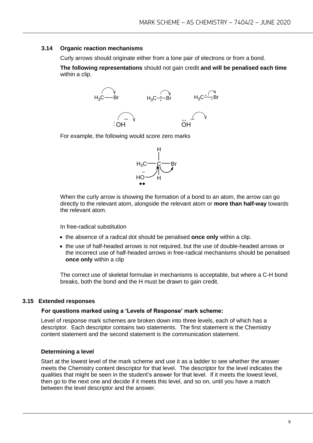#### **3.14 Organic reaction mechanisms**

Curly arrows should originate either from a lone pair of electrons or from a bond.

**The following representations** should not gain credit **and will be penalised each time**  within a clip.



For example, the following would score zero marks



When the curly arrow is showing the formation of a bond to an atom, the arrow can go directly to the relevant atom, alongside the relevant atom or **more than half-way** towards the relevant atom.

In free-radical substitution

- the absence of a radical dot should be penalised **once only** within a clip.
- the use of half-headed arrows is not required, but the use of double-headed arrows or the incorrect use of half-headed arrows in free-radical mechanisms should be penalised **once only** within a clip

The correct use of skeletal formulae in mechanisms is acceptable, but where a C-H bond breaks, both the bond and the H must be drawn to gain credit.

#### **3.15 Extended responses**

#### **For questions marked using a 'Levels of Response' mark scheme:**

Level of response mark schemes are broken down into three levels, each of which has a descriptor. Each descriptor contains two statements. The first statement is the Chemistry content statement and the second statement is the communication statement.

#### **Determining a level**

Start at the lowest level of the mark scheme and use it as a ladder to see whether the answer meets the Chemistry content descriptor for that level. The descriptor for the level indicates the qualities that might be seen in the student's answer for that level. If it meets the lowest level, then go to the next one and decide if it meets this level, and so on, until you have a match between the level descriptor and the answer.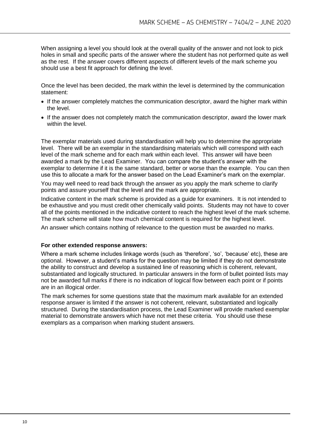When assigning a level you should look at the overall quality of the answer and not look to pick holes in small and specific parts of the answer where the student has not performed quite as well as the rest. If the answer covers different aspects of different levels of the mark scheme you should use a best fit approach for defining the level.

Once the level has been decided, the mark within the level is determined by the communication statement:

- If the answer completely matches the communication descriptor, award the higher mark within the level.
- If the answer does not completely match the communication descriptor, award the lower mark within the level.

The exemplar materials used during standardisation will help you to determine the appropriate level. There will be an exemplar in the standardising materials which will correspond with each level of the mark scheme and for each mark within each level. This answer will have been awarded a mark by the Lead Examiner. You can compare the student's answer with the exemplar to determine if it is the same standard, better or worse than the example. You can then use this to allocate a mark for the answer based on the Lead Examiner's mark on the exemplar.

You may well need to read back through the answer as you apply the mark scheme to clarify points and assure yourself that the level and the mark are appropriate.

Indicative content in the mark scheme is provided as a guide for examiners. It is not intended to be exhaustive and you must credit other chemically valid points. Students may not have to cover all of the points mentioned in the indicative content to reach the highest level of the mark scheme. The mark scheme will state how much chemical content is required for the highest level.

An answer which contains nothing of relevance to the question must be awarded no marks.

#### **For other extended response answers:**

Where a mark scheme includes linkage words (such as 'therefore', 'so', 'because' etc), these are optional. However, a student's marks for the question may be limited if they do not demonstrate the ability to construct and develop a sustained line of reasoning which is coherent, relevant, substantiated and logically structured. In particular answers in the form of bullet pointed lists may not be awarded full marks if there is no indication of logical flow between each point or if points are in an illogical order.

The mark schemes for some questions state that the maximum mark available for an extended response answer is limited if the answer is not coherent, relevant, substantiated and logically structured. During the standardisation process, the Lead Examiner will provide marked exemplar material to demonstrate answers which have not met these criteria. You should use these exemplars as a comparison when marking student answers.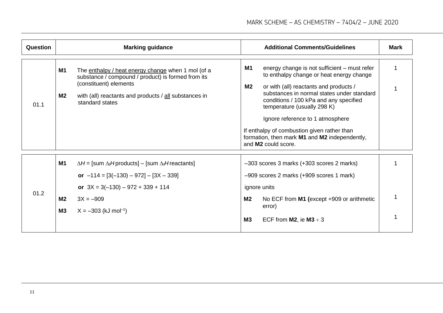| <b>Question</b> | <b>Marking guidance</b>                                                                                                                                                                                                                  | <b>Additional Comments/Guidelines</b>                                                                                                                                                                                                                                                                                                                                                                                                        | <b>Mark</b> |
|-----------------|------------------------------------------------------------------------------------------------------------------------------------------------------------------------------------------------------------------------------------------|----------------------------------------------------------------------------------------------------------------------------------------------------------------------------------------------------------------------------------------------------------------------------------------------------------------------------------------------------------------------------------------------------------------------------------------------|-------------|
| 01.1            | The enthalpy / heat energy change when 1 mol (of a<br>M1<br>substance / compound / product) is formed from its<br>(constituent) elements<br>M <sub>2</sub><br>with (all) reactants and products / all substances in<br>standard states   | M1<br>energy change is not sufficient – must refer<br>to enthalpy change or heat energy change<br>M <sub>2</sub><br>or with (all) reactants and products /<br>substances in normal states under standard<br>conditions / 100 kPa and any specified<br>temperature (usually 298 K)<br>Ignore reference to 1 atmosphere<br>If enthalpy of combustion given rather than<br>formation, then mark M1 and M2 independently,<br>and M2 could score. |             |
| 01.2            | <b>M1</b><br>$\Delta H$ = [sum $\Delta_f H$ products] – [sum $\Delta_f H$ reactants]<br>or $-114 = [3(-130) - 972] - [3X - 339]$<br>or $3X = 3(-130) - 972 + 339 + 114$<br>M2<br>$3X = -909$<br>M3<br>$X = -303$ (kJ mol <sup>-1</sup> ) | -303 scores 3 marks (+303 scores 2 marks)<br>-909 scores 2 marks (+909 scores 1 mark)<br>ignore units<br>M2<br>No ECF from M1 (except +909 or arithmetic<br>error)<br>M3<br>ECF from M2, ie M3 $\div$ 3                                                                                                                                                                                                                                      |             |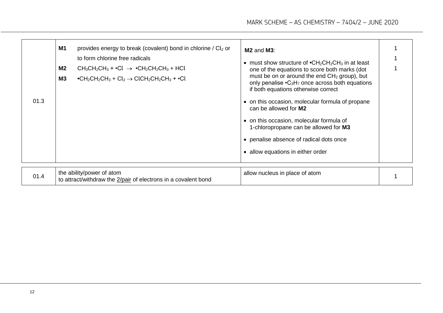| 01.3 | <b>M1</b><br>provides energy to break (covalent) bond in chlorine / Cl <sub>2</sub> or<br>to form chlorine free radicals<br>M <sub>2</sub><br>$CH_3CH_2CH_3 + \cdot Cl \rightarrow \cdot CH_2CH_2CH_3 + HCl$<br>M3<br>• $CH_2CH_2CH_3 + Cl_2 \rightarrow CICH_2CH_2CH_3 + \cdot Cl$ | $M2$ and $M3$ :<br>• must show structure of $\bullet$ CH <sub>2</sub> CH <sub>2</sub> CH <sub>3</sub> in at least<br>one of the equations to score both marks (dot<br>must be on or around the end $CH2$ group), but<br>only penalise • C <sub>3</sub> H <sub>7</sub> once across both equations<br>if both equations otherwise correct<br>• on this occasion, molecular formula of propane<br>can be allowed for M2<br>• on this occasion, molecular formula of<br>1-chloropropane can be allowed for M3<br>• penalise absence of radical dots once<br>• allow equations in either order |  |
|------|-------------------------------------------------------------------------------------------------------------------------------------------------------------------------------------------------------------------------------------------------------------------------------------|-------------------------------------------------------------------------------------------------------------------------------------------------------------------------------------------------------------------------------------------------------------------------------------------------------------------------------------------------------------------------------------------------------------------------------------------------------------------------------------------------------------------------------------------------------------------------------------------|--|
| 01.4 | the ability/power of atom<br>to attract/withdraw the 2/pair of electrons in a covalent bond                                                                                                                                                                                         | allow nucleus in place of atom                                                                                                                                                                                                                                                                                                                                                                                                                                                                                                                                                            |  |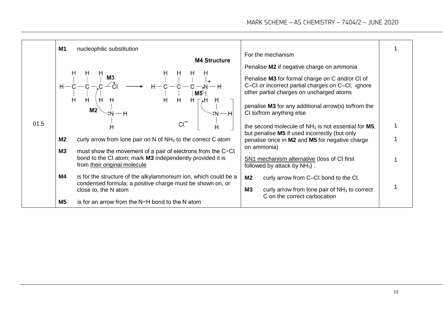|      | <b>M1</b><br>nucleophilic substitution                                                                                             | For the mechanism                                                                                                                                                                                                                                                                |  |
|------|------------------------------------------------------------------------------------------------------------------------------------|----------------------------------------------------------------------------------------------------------------------------------------------------------------------------------------------------------------------------------------------------------------------------------|--|
|      | <b>M4 Structure</b>                                                                                                                | Penalise M2 if negative charge on ammonia<br>Penalise M3 for formal charge on C and/or Cl of<br>C-Cl or incorrect partial charges on C-Cl; ignore<br>other partial charges on uncharged atoms<br>penalise M3 for any additional arrow(s) to/from the<br>Cl to/from anything else |  |
| 01.5 |                                                                                                                                    | the second molecule of $NH3$ is not essential for M5,                                                                                                                                                                                                                            |  |
|      | M <sub>2</sub><br>curly arrow from lone pair on N of $NH3$ to the correct C atom                                                   | but penalise M5 if used incorrectly (but only<br>penalise once in M2 and M5 for negative charge                                                                                                                                                                                  |  |
|      | M3<br>must show the movement of a pair of electrons from the C-CL                                                                  | on ammonia)                                                                                                                                                                                                                                                                      |  |
|      | bond to the Cl atom; mark M3 independently provided it is<br>from their original molecule                                          | <b>SN1</b> mechanism alternative (loss of CI first<br>followed by attack by $NH3)$ :                                                                                                                                                                                             |  |
|      | M4<br>is for the structure of the alkylammonium ion, which could be a<br>condensed formula; a positive charge must be shown on, or | M2<br>curly arrow from C-CI bond to the CI                                                                                                                                                                                                                                       |  |
|      | close to, the N atom                                                                                                               | <b>M3</b><br>curly arrow from lone pair of $NH3$ to correct<br>C on the correct carbocation                                                                                                                                                                                      |  |
|      | is for an arrow from the N-H bond to the N atom<br>M <sub>5</sub>                                                                  |                                                                                                                                                                                                                                                                                  |  |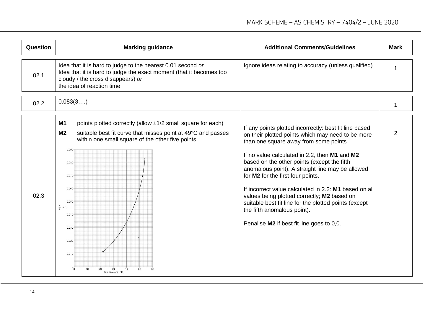| <b>Question</b> | <b>Marking guidance</b>                                                                                                                                                                                                                                                                                                                                             | <b>Additional Comments/Guidelines</b>                                                                                                                                                                                                                                                                                                                                                                                                                                                                                                                                                      | <b>Mark</b>    |
|-----------------|---------------------------------------------------------------------------------------------------------------------------------------------------------------------------------------------------------------------------------------------------------------------------------------------------------------------------------------------------------------------|--------------------------------------------------------------------------------------------------------------------------------------------------------------------------------------------------------------------------------------------------------------------------------------------------------------------------------------------------------------------------------------------------------------------------------------------------------------------------------------------------------------------------------------------------------------------------------------------|----------------|
| 02.1            | Idea that it is hard to judge to the nearest 0.01 second or<br>Idea that it is hard to judge the exact moment (that it becomes too<br>cloudy / the cross disappears) or<br>the idea of reaction time                                                                                                                                                                | Ignore ideas relating to accuracy (unless qualified)                                                                                                                                                                                                                                                                                                                                                                                                                                                                                                                                       |                |
| 02.2            | 0.083(3)                                                                                                                                                                                                                                                                                                                                                            |                                                                                                                                                                                                                                                                                                                                                                                                                                                                                                                                                                                            | 1              |
| 02.3            | points plotted correctly (allow $\pm 1/2$ small square for each)<br>M1<br>M <sub>2</sub><br>suitable best fit curve that misses point at 49°C and passes<br>within one small square of the other five points<br>0.090<br>0.080<br>0.070<br>0.060<br>0.050<br>$\frac{1}{4}$ / s <sup>-1</sup><br>0.040<br>0.030<br>0.020<br>0.010<br>50<br>10<br>20<br>Temperature / | If any points plotted incorrectly: best fit line based<br>on their plotted points which may need to be more<br>than one square away from some points<br>If no value calculated in 2.2, then M1 and M2<br>based on the other points (except the fifth<br>anomalous point). A straight line may be allowed<br>for M2 for the first four points.<br>If incorrect value calculated in 2.2: M1 based on all<br>values being plotted correctly; M2 based on<br>suitable best fit line for the plotted points (except<br>the fifth anomalous point).<br>Penalise M2 if best fit line goes to 0,0. | $\overline{2}$ |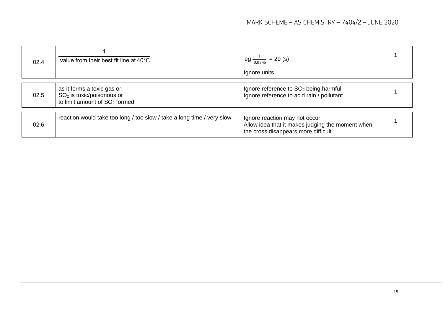| 02.4 | value from their best fit line at 40°C                                                                 | eg $\frac{1}{0.0345}$ = 29 (s)<br>Ignore units                                                                           |  |
|------|--------------------------------------------------------------------------------------------------------|--------------------------------------------------------------------------------------------------------------------------|--|
| 02.5 | as it forms a toxic gas or<br>$SO2$ is toxic/poisonous or<br>to limit amount of SO <sub>2</sub> formed | Ignore reference to SO <sub>2</sub> being harmful<br>Ignore reference to acid rain / pollutant                           |  |
| 02.6 | reaction would take too long / too slow / take a long time / very slow                                 | Ignore reaction may not occur<br>Allow idea that it makes judging the moment when<br>the cross disappears more difficult |  |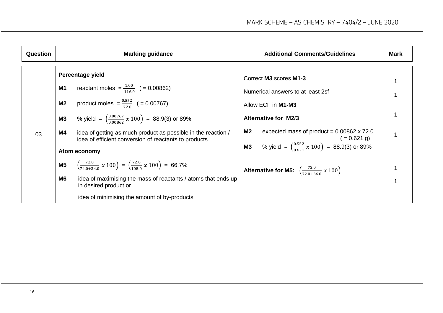| Question | <b>Marking guidance</b>                                                                                                                                                                                                                                                                                                                                                                                                                                                                                                                                                                                                                                                           | <b>Additional Comments/Guidelines</b>                                                                                                                                                                                                                                                                                                                             | <b>Mark</b> |
|----------|-----------------------------------------------------------------------------------------------------------------------------------------------------------------------------------------------------------------------------------------------------------------------------------------------------------------------------------------------------------------------------------------------------------------------------------------------------------------------------------------------------------------------------------------------------------------------------------------------------------------------------------------------------------------------------------|-------------------------------------------------------------------------------------------------------------------------------------------------------------------------------------------------------------------------------------------------------------------------------------------------------------------------------------------------------------------|-------------|
| 03       | Percentage yield<br>reactant moles = $\frac{1.00}{116.0}$ (= 0.00862)<br><b>M1</b><br>product moles = $\frac{0.552}{72.0}$ (= 0.00767)<br>M <sub>2</sub><br>% yield = $\left(\frac{0.00767}{0.00862} x 100\right)$ = 88.9(3) or 89%<br>M3<br>M4<br>idea of getting as much product as possible in the reaction /<br>idea of efficient conversion of reactants to products<br>Atom economy<br>$\left(\frac{72.0}{74.0+34.0} \times 100\right) = \left(\frac{72.0}{108.0} \times 100\right) = 66.7\%$<br>M <sub>5</sub><br>M <sub>6</sub><br>idea of maximising the mass of reactants / atoms that ends up<br>in desired product or<br>idea of minimising the amount of by-products | Correct M3 scores M1-3<br>Numerical answers to at least 2sf<br>Allow ECF in M1-M3<br><b>Alternative for M2/3</b><br>M2<br>expected mass of product = $0.00862 \times 72.0$<br>$( = 0.621$ g)<br><b>M3</b> % yield = $\left(\frac{0.552}{0.621} \times 100\right)$ = 88.9(3) or 89%<br><b>Alternative for M5:</b> $\left(\frac{72.0}{72.0+36.0} \times 100\right)$ |             |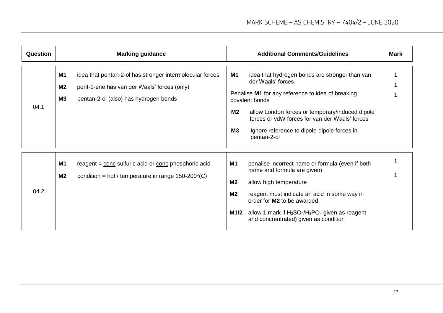| <b>Question</b> | <b>Marking guidance</b>                                                                                                                                                                 | <b>Additional Comments/Guidelines</b>                                                                                                                                                                                                                                                                                                                     | Mark |
|-----------------|-----------------------------------------------------------------------------------------------------------------------------------------------------------------------------------------|-----------------------------------------------------------------------------------------------------------------------------------------------------------------------------------------------------------------------------------------------------------------------------------------------------------------------------------------------------------|------|
| 04.1            | <b>M1</b><br>idea that pentan-2-ol has stronger intermolecular forces<br><b>M2</b><br>pent-1-ene has van der Waals' forces (only)<br><b>M3</b><br>pentan-2-ol (also) has hydrogen bonds | <b>M1</b><br>idea that hydrogen bonds are stronger than van<br>der Waals' forces<br>Penalise M1 for any reference to idea of breaking<br>covalent bonds<br>M <sub>2</sub><br>allow London forces or temporary/induced dipole<br>forces or vdW forces for van der Waals' forces<br><b>M3</b><br>Ignore reference to dipole-dipole forces in<br>pentan-2-ol |      |
| 04.2            | <b>M1</b><br>reagent = conc sulfuric acid or conc phosphoric acid<br>M <sub>2</sub><br>condition = hot / temperature in range $150-200^{\circ}$ (C)                                     | penalise incorrect name or formula (even if both<br>M1<br>name and formula are given)<br>M <sub>2</sub><br>allow high temperature<br>M <sub>2</sub><br>reagent must indicate an acid in some way in<br>order for M2 to be awarded<br>allow 1 mark if $H_2SO_4/H_3PO_4$ given as reagent<br>M1/2<br>and conc(entrated) given as condition                  |      |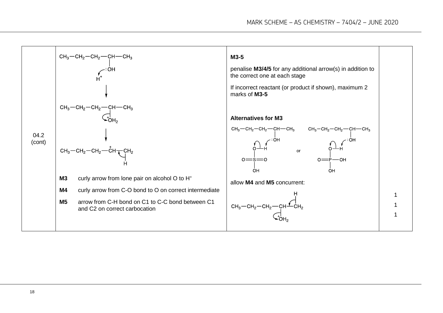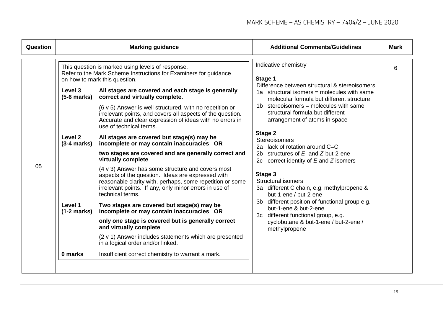| Question | <b>Marking guidance</b>  |                                                                                                                                                                                                                                                                                                                                                                                                                            | <b>Additional Comments/Guidelines</b>                                                                                                                                                                                                                                                | <b>Mark</b> |
|----------|--------------------------|----------------------------------------------------------------------------------------------------------------------------------------------------------------------------------------------------------------------------------------------------------------------------------------------------------------------------------------------------------------------------------------------------------------------------|--------------------------------------------------------------------------------------------------------------------------------------------------------------------------------------------------------------------------------------------------------------------------------------|-------------|
|          |                          | This question is marked using levels of response.<br>Refer to the Mark Scheme Instructions for Examiners for guidance<br>on how to mark this question.                                                                                                                                                                                                                                                                     | Indicative chemistry<br>Stage 1<br>Difference between structural & stereoisomers                                                                                                                                                                                                     | 6           |
|          | Level 3<br>$(5-6$ marks) | All stages are covered and each stage is generally<br>correct and virtually complete.<br>(6 v 5) Answer is well structured, with no repetition or<br>irrelevant points, and covers all aspects of the question.<br>Accurate and clear expression of ideas with no errors in<br>use of technical terms.                                                                                                                     | 1a structural isomers = molecules with same<br>molecular formula but different structure<br>1b stereoisomers = molecules with same<br>structural formula but different<br>arrangement of atoms in space                                                                              |             |
| 05       | Level 2<br>$(3-4 marks)$ | All stages are covered but stage(s) may be<br>incomplete or may contain inaccuracies OR<br>two stages are covered and are generally correct and<br>virtually complete<br>(4 v 3) Answer has some structure and covers most<br>aspects of the question. Ideas are expressed with<br>reasonable clarity with, perhaps, some repetition or some<br>irrelevant points. If any, only minor errors in use of<br>technical terms. | <b>Stage 2</b><br><b>Stereoisomers</b><br>2a lack of rotation around $C=C$<br>2b structures of $E$ - and $Z$ -but-2-ene<br>2c correct identity of $E$ and $Z$ isomers<br>Stage 3<br><b>Structural isomers</b><br>3a different C chain, e.g. methylpropene &<br>but-1-ene / but-2-ene |             |
|          | Level 1<br>$(1-2 marks)$ | Two stages are covered but stage(s) may be<br>incomplete or may contain inaccuracies OR<br>only one stage is covered but is generally correct<br>and virtually complete<br>(2 v 1) Answer includes statements which are presented<br>in a logical order and/or linked.                                                                                                                                                     | 3b different position of functional group e.g.<br>but-1-ene & but-2-ene<br>3c different functional group, e.g.<br>cyclobutane & but-1-ene / but-2-ene /<br>methylpropene                                                                                                             |             |
|          | 0 marks                  | Insufficient correct chemistry to warrant a mark.                                                                                                                                                                                                                                                                                                                                                                          |                                                                                                                                                                                                                                                                                      |             |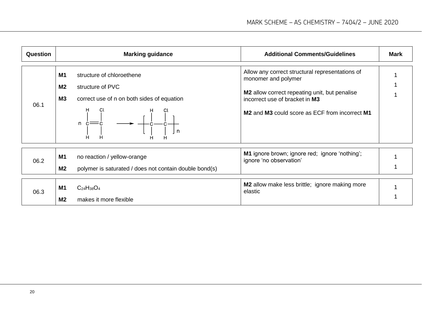| Question | <b>Marking guidance</b>                                                                                                                               |   | <b>Additional Comments/Guidelines</b>                                                                                                                                                                                                           | Mark |
|----------|-------------------------------------------------------------------------------------------------------------------------------------------------------|---|-------------------------------------------------------------------------------------------------------------------------------------------------------------------------------------------------------------------------------------------------|------|
| 06.1     | <b>M1</b><br>structure of chloroethene<br>M <sub>2</sub><br>structure of PVC<br>M3<br>correct use of n on both sides of equation<br>Cl<br>$n \dot{c}$ | n | Allow any correct structural representations of<br>monomer and polymer<br>M2 allow correct repeating unit, but penalise<br>incorrect use of bracket in M3<br>M <sub>2</sub> and M <sub>3</sub> could score as ECF from incorrect M <sub>1</sub> |      |
| 06.2     | <b>M1</b><br>no reaction / yellow-orange<br>M <sub>2</sub><br>polymer is saturated / does not contain double bond(s)                                  |   | <b>M1</b> ignore brown; ignore red; ignore 'nothing';<br>ignore 'no observation'                                                                                                                                                                |      |
| 06.3     | $C_{24}H_{38}O_4$<br>M1<br>M <sub>2</sub><br>makes it more flexible                                                                                   |   | <b>M2</b> allow make less brittle; ignore making more<br>elastic                                                                                                                                                                                |      |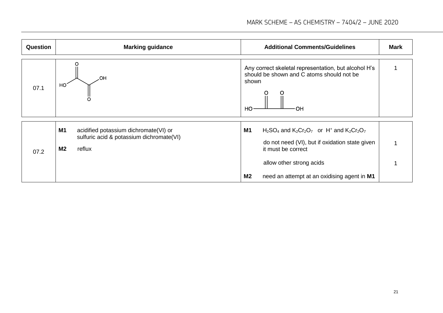| Question | <b>Marking guidance</b>                                                                                             | <b>Additional Comments/Guidelines</b>                                                                                                                                                                                               | <b>Mark</b> |
|----------|---------------------------------------------------------------------------------------------------------------------|-------------------------------------------------------------------------------------------------------------------------------------------------------------------------------------------------------------------------------------|-------------|
| 07.1     | HO.<br>HO                                                                                                           | Any correct skeletal representation, but alcohol H's<br>should be shown and C atoms should not be<br>shown<br>OH<br>HO                                                                                                              |             |
| 07.2     | M1<br>acidified potassium dichromate(VI) or<br>sulfuric acid & potassium dichromate(VI)<br>reflux<br>M <sub>2</sub> | M1<br>$H_2SO_4$ and $K_2Cr_2O_7$ or H <sup>+</sup> and $K_2Cr_2O_7$<br>do not need (VI), but if oxidation state given<br>it must be correct<br>allow other strong acids<br><b>M2</b><br>need an attempt at an oxidising agent in M1 |             |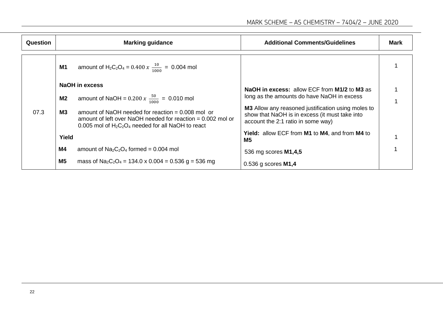| Question |                | <b>Marking guidance</b>                                                                                                                                                       | <b>Additional Comments/Guidelines</b>                                                                                                             | <b>Mark</b> |
|----------|----------------|-------------------------------------------------------------------------------------------------------------------------------------------------------------------------------|---------------------------------------------------------------------------------------------------------------------------------------------------|-------------|
|          | <b>M1</b>      | amount of H <sub>2</sub> C <sub>2</sub> O <sub>4</sub> = 0.400 $x \frac{10}{1000}$ = 0.004 mol                                                                                |                                                                                                                                                   |             |
|          |                | <b>NaOH</b> in excess                                                                                                                                                         | NaOH in excess: allow ECF from M1/2 to M3 as                                                                                                      |             |
|          | M <sub>2</sub> | amount of NaOH = $0.200 x \frac{50}{1000} = 0.010$ mol                                                                                                                        | long as the amounts do have NaOH in excess                                                                                                        |             |
| 07.3     | <b>M3</b>      | amount of NaOH needed for reaction $= 0.008$ mol or<br>amount of left over NaOH needed for reaction $= 0.002$ mol or<br>0.005 mol of $H_2C_2O_4$ needed for all NaOH to react | <b>M3</b> Allow any reasoned justification using moles to<br>show that NaOH is in excess (it must take into<br>account the 2:1 ratio in some way) |             |
|          | Yield          |                                                                                                                                                                               | <b>Yield:</b> allow ECF from <b>M1</b> to <b>M4</b> , and from <b>M4</b> to<br>M5                                                                 |             |
|          | M4             | amount of $Na2C2O4$ formed = 0.004 mol                                                                                                                                        | 536 mg scores <b>M1,4,5</b>                                                                                                                       |             |
|          | M <sub>5</sub> | mass of Na <sub>2</sub> C <sub>2</sub> O <sub>4</sub> = 134.0 x 0.004 = 0.536 g = 536 mg                                                                                      | $0.536$ g scores M1,4                                                                                                                             |             |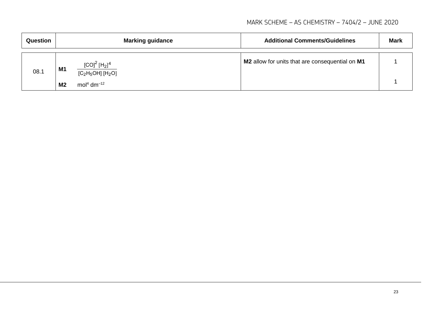#### MARK SCHEME – AS CHEMISTRY – 7404/2 – JUNE 2020

| Question |                | <b>Marking guidance</b>                | <b>Additional Comments/Guidelines</b>           | <b>Mark</b> |
|----------|----------------|----------------------------------------|-------------------------------------------------|-------------|
| 08.1     | <b>M1</b>      | $[CO]2 [H2]4$<br>$[C_2H_5OH]$ $[H_2O]$ | M2 allow for units that are consequential on M1 |             |
|          | M <sub>2</sub> | mol <sup>4</sup> dm <sup>-12</sup>     |                                                 |             |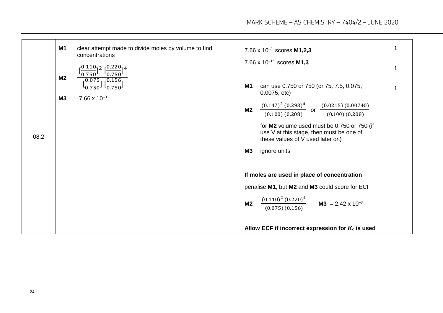|      | M <sub>1</sub>              | clear attempt made to divide moles by volume to find<br>concentrations<br>$50.110$ <sub>1</sub> 2 $50.220$ <sub>1</sub> 4<br>$\frac{1}{0.750}$<br>$L_{0.750}$ |                      | 7.66 x $10^{-3}$ scores <b>M1,2,3</b><br>7.66 x $10^{-15}$ scores M1,3                                                                                                                                                                               |  |
|------|-----------------------------|---------------------------------------------------------------------------------------------------------------------------------------------------------------|----------------------|------------------------------------------------------------------------------------------------------------------------------------------------------------------------------------------------------------------------------------------------------|--|
|      | <b>M2</b><br>M <sub>3</sub> | $\frac{[0.075]}{[0.750]}$ $\frac{[0.156]}{0.750]}$<br>$7.66 \times 10^{-3}$                                                                                   | M1<br>M <sub>2</sub> | can use 0.750 or 750 (or 75, 7.5, 0.075,<br>0.0075, etc.<br>$\frac{(0.147)^2 (0.293)^4}{(0.100) (0.208)}$ or $\frac{(0.0215) (0.00740)}{(0.100) (0.208)}$<br>for M2 volume used must be 0.750 or 750 (if<br>use V at this stage, then must be one of |  |
| 08.2 |                             |                                                                                                                                                               | M3<br>M <sub>2</sub> | these values of V used later on)<br>ignore units<br>If moles are used in place of concentration<br>penalise M1, but M2 and M3 could score for ECF<br>$\frac{(0.110)^2 (0.220)^4}{5}$ M3 = 2.42 x 10 <sup>-3</sup>                                    |  |
|      |                             |                                                                                                                                                               |                      | (0.075)(0.156)<br>Allow ECF if incorrect expression for $K_c$ is used                                                                                                                                                                                |  |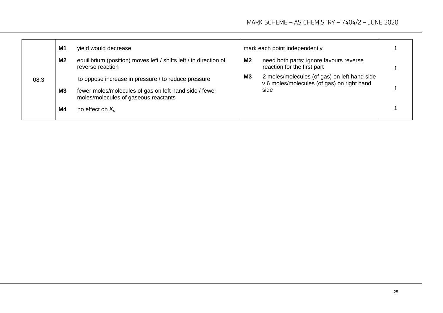|      | M1             | yield would decrease                                                                           |                | mark each point independently                                                              |  |
|------|----------------|------------------------------------------------------------------------------------------------|----------------|--------------------------------------------------------------------------------------------|--|
|      | M <sub>2</sub> | equilibrium (position) moves left / shifts left / in direction of<br>reverse reaction          | M2             | need both parts; ignore favours reverse<br>reaction for the first part                     |  |
| 08.3 |                | to oppose increase in pressure / to reduce pressure                                            | M <sub>3</sub> | 2 moles/molecules (of gas) on left hand side<br>v 6 moles/molecules (of gas) on right hand |  |
|      | M <sub>3</sub> | fewer moles/molecules of gas on left hand side / fewer<br>moles/molecules of gaseous reactants |                | side                                                                                       |  |
|      | M4             | no effect on $K_c$                                                                             |                |                                                                                            |  |